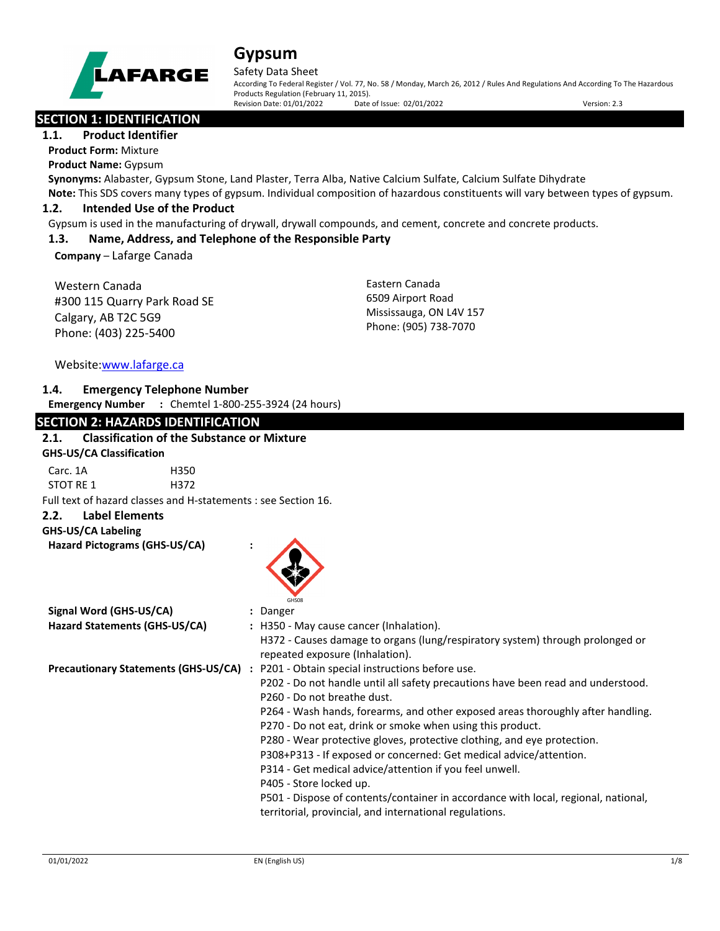

#### Safety Data Sheet

According To Federal Register / Vol. 77, No. 58 / Monday, March 26, 2012 / Rules And Regulations And According To The Hazardous Products Regulation (February 11, 2015). Revision Date: 01/01/2022 Date of Issue: 02/01/2022 Version: 2.3

# **SECTION 1: IDENTIFICATION**

# **1.1. Product Identifier**

**Product Form:** Mixture

**Product Name:** Gypsum

**Synonyms:** Alabaster, Gypsum Stone, Land Plaster, Terra Alba, Native Calcium Sulfate, Calcium Sulfate Dihydrate **Note:** This SDS covers many types of gypsum. Individual composition of hazardous constituents will vary between types of gypsum.

## **1.2. Intended Use of the Product**

Gypsum is used in the manufacturing of drywall, drywall compounds, and cement, concrete and concrete products.

## **1.3. Name, Address, and Telephone of the Responsible Party**

**Company** – Lafarge Canada

Western Canada #300 115 Quarry Park Road SE Calgary, AB T2C 5G9 Phone: (403) 225-5400

Eastern Canada 6509 Airport Road Mississauga, ON L4V 157 Phone: (905) 738-7070

Website[:www.lafarge.ca](file://leon/customers/CUSTOMERS/Lafarge_North_America_Inc/Projects/Authoring_20180316/Batch_Folder/B_Draft_SDS/MS_Word_Files/www.lafarge.ca)

### **1.4. Emergency Telephone Number**

**Emergency Number :** Chemtel 1-800-255-3924 (24 hours)

| <b>SECTION 2: HAZARDS IDENTIFICATION</b>                       |                                                                                                                                               |
|----------------------------------------------------------------|-----------------------------------------------------------------------------------------------------------------------------------------------|
| <b>Classification of the Substance or Mixture</b><br>2.1.      |                                                                                                                                               |
| <b>GHS-US/CA Classification</b>                                |                                                                                                                                               |
| Carc. 1A<br>H350                                               |                                                                                                                                               |
| STOT RE 1<br>H372                                              |                                                                                                                                               |
| Full text of hazard classes and H-statements : see Section 16. |                                                                                                                                               |
| <b>Label Elements</b><br>2.2.                                  |                                                                                                                                               |
| <b>GHS-US/CA Labeling</b>                                      |                                                                                                                                               |
| Hazard Pictograms (GHS-US/CA)                                  |                                                                                                                                               |
| Signal Word (GHS-US/CA)                                        | <b>GHSO<sub>8</sub></b><br>: Danger                                                                                                           |
| Hazard Statements (GHS-US/CA)                                  | : H350 - May cause cancer (Inhalation).                                                                                                       |
|                                                                | H372 - Causes damage to organs (lung/respiratory system) through prolonged or<br>repeated exposure (Inhalation).                              |
| <b>Precautionary Statements (GHS-US/CA)</b>                    | : P201 - Obtain special instructions before use.                                                                                              |
|                                                                | P202 - Do not handle until all safety precautions have been read and understood.                                                              |
|                                                                | P260 - Do not breathe dust.                                                                                                                   |
|                                                                | P264 - Wash hands, forearms, and other exposed areas thoroughly after handling.<br>P270 - Do not eat, drink or smoke when using this product. |
|                                                                | P280 - Wear protective gloves, protective clothing, and eye protection.                                                                       |
|                                                                | P308+P313 - If exposed or concerned: Get medical advice/attention.                                                                            |
|                                                                | P314 - Get medical advice/attention if you feel unwell.                                                                                       |
|                                                                | P405 - Store locked up.                                                                                                                       |
|                                                                | P501 - Dispose of contents/container in accordance with local, regional, national,<br>territorial, provincial, and international regulations. |
|                                                                |                                                                                                                                               |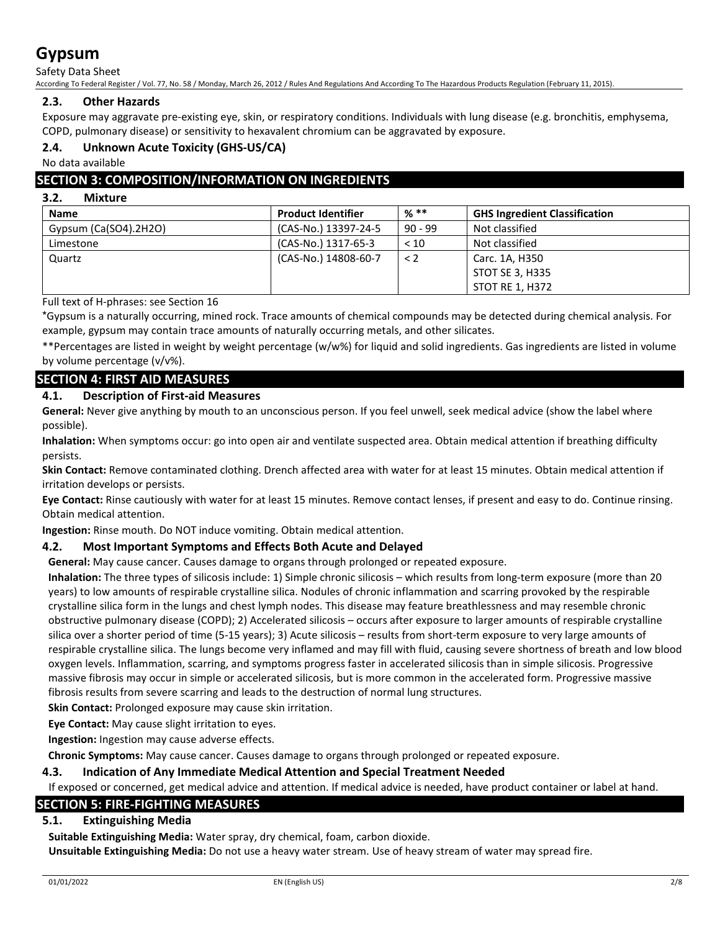Safety Data Sheet

According To Federal Register / Vol. 77, No. 58 / Monday, March 26, 2012 / Rules And Regulations And According To The Hazardous Products Regulation (February 11, 2015).

# **2.3. Other Hazards**

Exposure may aggravate pre-existing eye, skin, or respiratory conditions. Individuals with lung disease (e.g. bronchitis, emphysema, COPD, pulmonary disease) or sensitivity to hexavalent chromium can be aggravated by exposure.

# **2.4. Unknown Acute Toxicity (GHS-US/CA)**

No data available

# **SECTION 3: COMPOSITION/INFORMATION ON INGREDIENTS**

### **3.2. Mixture**

| <b>Name</b>           | <b>Product Identifier</b> | $%$ **    | <b>GHS Ingredient Classification</b> |
|-----------------------|---------------------------|-----------|--------------------------------------|
| Gypsum (Ca(SO4).2H2O) | (CAS-No.) 13397-24-5      | $90 - 99$ | Not classified                       |
| Limestone             | (CAS-No.) 1317-65-3       | < 10      | Not classified                       |
| Quartz                | (CAS-No.) 14808-60-7      | $\lt 2$   | Carc. 1A, H350                       |
|                       |                           |           | STOT SE 3, H335                      |
|                       |                           |           | STOT RE 1, H372                      |

Full text of H-phrases: see Section 16

\*Gypsum is a naturally occurring, mined rock. Trace amounts of chemical compounds may be detected during chemical analysis. For example, gypsum may contain trace amounts of naturally occurring metals, and other silicates.

\*\*Percentages are listed in weight by weight percentage (w/w%) for liquid and solid ingredients. Gas ingredients are listed in volume by volume percentage (v/v%).

# **SECTION 4: FIRST AID MEASURES**

# **4.1. Description of First-aid Measures**

**General:** Never give anything by mouth to an unconscious person. If you feel unwell, seek medical advice (show the label where possible).

**Inhalation:** When symptoms occur: go into open air and ventilate suspected area. Obtain medical attention if breathing difficulty persists.

**Skin Contact:** Remove contaminated clothing. Drench affected area with water for at least 15 minutes. Obtain medical attention if irritation develops or persists.

**Eye Contact:** Rinse cautiously with water for at least 15 minutes. Remove contact lenses, if present and easy to do. Continue rinsing. Obtain medical attention.

**Ingestion:** Rinse mouth. Do NOT induce vomiting. Obtain medical attention.

# **4.2. Most Important Symptoms and Effects Both Acute and Delayed**

**General:** May cause cancer. Causes damage to organs through prolonged or repeated exposure.

**Inhalation:** The three types of silicosis include: 1) Simple chronic silicosis – which results from long-term exposure (more than 20 years) to low amounts of respirable crystalline silica. Nodules of chronic inflammation and scarring provoked by the respirable crystalline silica form in the lungs and chest lymph nodes. This disease may feature breathlessness and may resemble chronic obstructive pulmonary disease (COPD); 2) Accelerated silicosis – occurs after exposure to larger amounts of respirable crystalline silica over a shorter period of time (5-15 years); 3) Acute silicosis – results from short-term exposure to very large amounts of respirable crystalline silica. The lungs become very inflamed and may fill with fluid, causing severe shortness of breath and low blood oxygen levels. Inflammation, scarring, and symptoms progress faster in accelerated silicosis than in simple silicosis. Progressive massive fibrosis may occur in simple or accelerated silicosis, but is more common in the accelerated form. Progressive massive fibrosis results from severe scarring and leads to the destruction of normal lung structures.

**Skin Contact:** Prolonged exposure may cause skin irritation.

**Eye Contact:** May cause slight irritation to eyes.

**Ingestion:** Ingestion may cause adverse effects.

**Chronic Symptoms:** May cause cancer. Causes damage to organs through prolonged or repeated exposure.

### **4.3. Indication of Any Immediate Medical Attention and Special Treatment Needed**

If exposed or concerned, get medical advice and attention. If medical advice is needed, have product container or label at hand.

# **SECTION 5: FIRE-FIGHTING MEASURES**

### **5.1. Extinguishing Media**

**Suitable Extinguishing Media:** Water spray, dry chemical, foam, carbon dioxide. **Unsuitable Extinguishing Media:** Do not use a heavy water stream. Use of heavy stream of water may spread fire.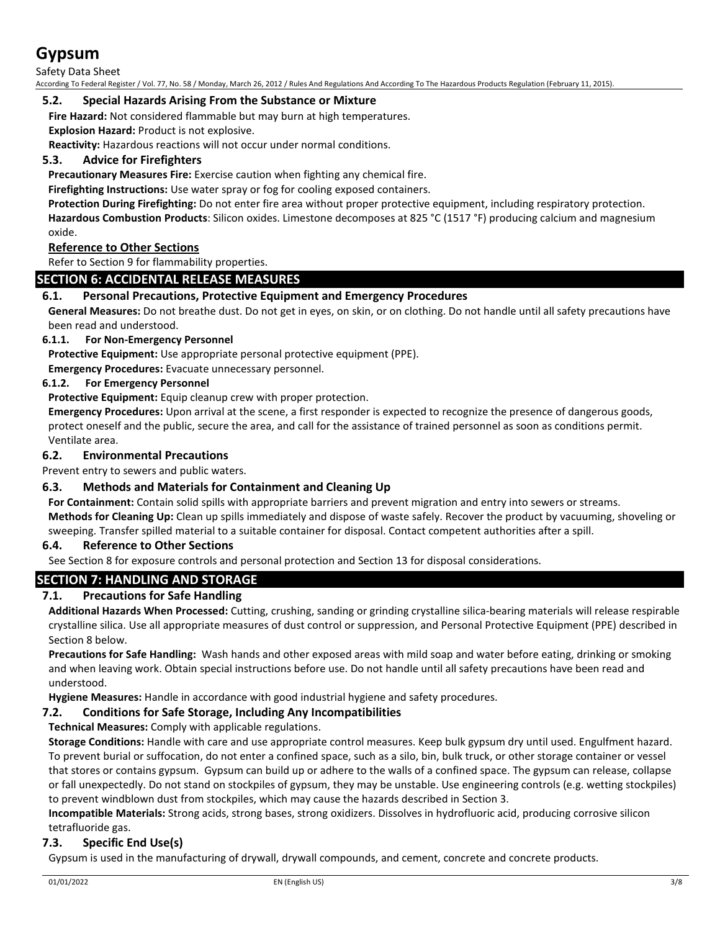Safety Data Sheet

According To Federal Register / Vol. 77, No. 58 / Monday, March 26, 2012 / Rules And Regulations And According To The Hazardous Products Regulation (February 11, 2015).

## **5.2. Special Hazards Arising From the Substance or Mixture**

**Fire Hazard:** Not considered flammable but may burn at high temperatures.

**Explosion Hazard:** Product is not explosive.

**Reactivity:** Hazardous reactions will not occur under normal conditions.

# **5.3. Advice for Firefighters**

**Precautionary Measures Fire:** Exercise caution when fighting any chemical fire.

**Firefighting Instructions:** Use water spray or fog for cooling exposed containers.

**Protection During Firefighting:** Do not enter fire area without proper protective equipment, including respiratory protection. **Hazardous Combustion Products**: Silicon oxides. Limestone decomposes at 825 °C (1517 °F) producing calcium and magnesium oxide.

## **Reference to Other Sections**

Refer to Section 9 for flammability properties.

# **SECTION 6: ACCIDENTAL RELEASE MEASURES**

# **6.1. Personal Precautions, Protective Equipment and Emergency Procedures**

**General Measures:** Do not breathe dust. Do not get in eyes, on skin, or on clothing. Do not handle until all safety precautions have been read and understood.

## **6.1.1. For Non-Emergency Personnel**

**Protective Equipment:** Use appropriate personal protective equipment (PPE).

**Emergency Procedures:** Evacuate unnecessary personnel.

## **6.1.2. For Emergency Personnel**

**Protective Equipment:** Equip cleanup crew with proper protection.

**Emergency Procedures:** Upon arrival at the scene, a first responder is expected to recognize the presence of dangerous goods, protect oneself and the public, secure the area, and call for the assistance of trained personnel as soon as conditions permit. Ventilate area.

## **6.2. Environmental Precautions**

Prevent entry to sewers and public waters.

# **6.3. Methods and Materials for Containment and Cleaning Up**

**For Containment:** Contain solid spills with appropriate barriers and prevent migration and entry into sewers or streams. **Methods for Cleaning Up:** Clean up spills immediately and dispose of waste safely. Recover the product by vacuuming, shoveling or sweeping. Transfer spilled material to a suitable container for disposal. Contact competent authorities after a spill.

### **6.4. Reference to Other Sections**

See Section 8 for exposure controls and personal protection and Section 13 for disposal considerations.

# **SECTION 7: HANDLING AND STORAGE**

# **7.1. Precautions for Safe Handling**

**Additional Hazards When Processed:** Cutting, crushing, sanding or grinding crystalline silica-bearing materials will release respirable crystalline silica. Use all appropriate measures of dust control or suppression, and Personal Protective Equipment (PPE) described in Section 8 below.

**Precautions for Safe Handling:** Wash hands and other exposed areas with mild soap and water before eating, drinking or smoking and when leaving work. Obtain special instructions before use. Do not handle until all safety precautions have been read and understood.

**Hygiene Measures:** Handle in accordance with good industrial hygiene and safety procedures.

# **7.2. Conditions for Safe Storage, Including Any Incompatibilities**

**Technical Measures:** Comply with applicable regulations.

**Storage Conditions:** Handle with care and use appropriate control measures. Keep bulk gypsum dry until used. Engulfment hazard. To prevent burial or suffocation, do not enter a confined space, such as a silo, bin, bulk truck, or other storage container or vessel that stores or contains gypsum. Gypsum can build up or adhere to the walls of a confined space. The gypsum can release, collapse or fall unexpectedly. Do not stand on stockpiles of gypsum, they may be unstable. Use engineering controls (e.g. wetting stockpiles) to prevent windblown dust from stockpiles, which may cause the hazards described in Section 3.

**Incompatible Materials:** Strong acids, strong bases, strong oxidizers. Dissolves in hydrofluoric acid, producing corrosive silicon tetrafluoride gas.

# **7.3. Specific End Use(s)**

Gypsum is used in the manufacturing of drywall, drywall compounds, and cement, concrete and concrete products.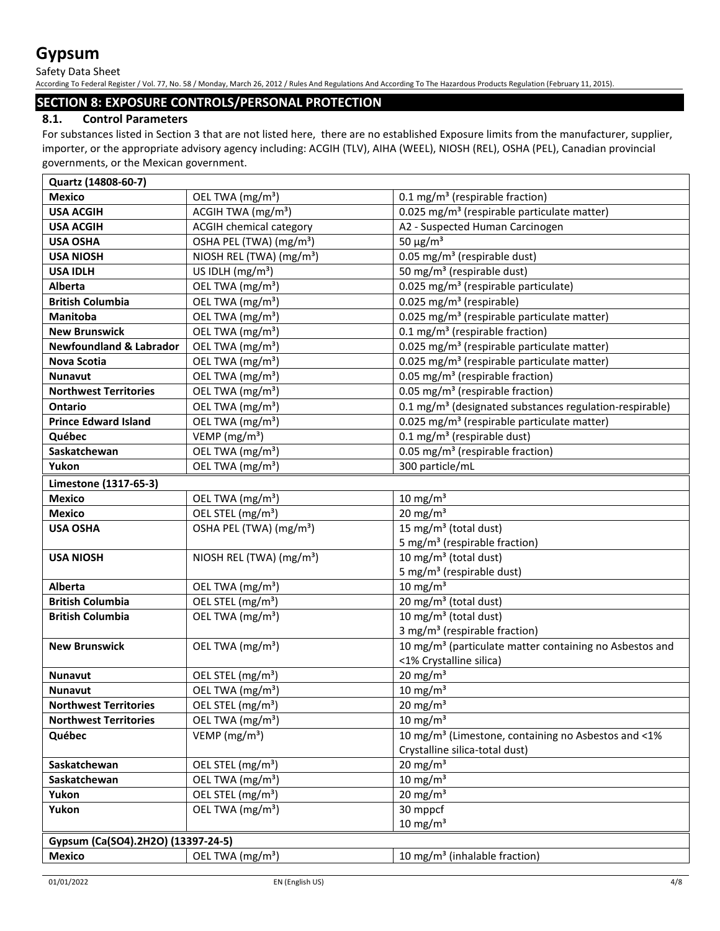Safety Data Sheet

According To Federal Register / Vol. 77, No. 58 / Monday, March 26, 2012 / Rules And Regulations And According To The Hazardous Products Regulation (February 11, 2015).

# **SECTION 8: EXPOSURE CONTROLS/PERSONAL PROTECTION**

# **8.1. Control Parameters**

For substances listed in Section 3 that are not listed here, there are no established Exposure limits from the manufacturer, supplier, importer, or the appropriate advisory agency including: ACGIH (TLV), AIHA (WEEL), NIOSH (REL), OSHA (PEL), Canadian provincial governments, or the Mexican government.

| Quartz (14808-60-7)                |                                             |                                                                     |
|------------------------------------|---------------------------------------------|---------------------------------------------------------------------|
| <b>Mexico</b>                      | OEL TWA (mg/m <sup>3</sup> )                | 0.1 mg/m <sup>3</sup> (respirable fraction)                         |
| <b>USA ACGIH</b>                   | ACGIH TWA $(mg/m3)$                         | 0.025 mg/m <sup>3</sup> (respirable particulate matter)             |
| <b>USA ACGIH</b>                   | <b>ACGIH chemical category</b>              | A2 - Suspected Human Carcinogen                                     |
| <b>USA OSHA</b>                    | OSHA PEL (TWA) (mg/m <sup>3</sup> )         | 50 $\mu$ g/m <sup>3</sup>                                           |
| <b>USA NIOSH</b>                   | NIOSH REL (TWA) (mg/m <sup>3</sup> )        | $0.05$ mg/m <sup>3</sup> (respirable dust)                          |
| <b>USA IDLH</b>                    | US IDLH $(mg/m3)$                           | 50 mg/m <sup>3</sup> (respirable dust)                              |
| <b>Alberta</b>                     | OEL TWA (mg/m <sup>3</sup> )                | 0.025 mg/m <sup>3</sup> (respirable particulate)                    |
| <b>British Columbia</b>            | OEL TWA (mg/m <sup>3</sup> )                | 0.025 mg/m <sup>3</sup> (respirable)                                |
| <b>Manitoba</b>                    | OEL TWA (mg/m <sup>3</sup> )                | 0.025 mg/m <sup>3</sup> (respirable particulate matter)             |
| <b>New Brunswick</b>               | OEL TWA (mg/m <sup>3</sup> )                | 0.1 mg/m <sup>3</sup> (respirable fraction)                         |
| <b>Newfoundland &amp; Labrador</b> | OEL TWA (mg/m <sup>3</sup> )                | 0.025 mg/m <sup>3</sup> (respirable particulate matter)             |
| <b>Nova Scotia</b>                 | OEL TWA (mg/m <sup>3</sup> )                | 0.025 mg/m <sup>3</sup> (respirable particulate matter)             |
| Nunavut                            | OEL TWA (mg/m <sup>3</sup> )                | 0.05 mg/m <sup>3</sup> (respirable fraction)                        |
| <b>Northwest Territories</b>       | OEL TWA (mg/m <sup>3</sup> )                | 0.05 mg/m <sup>3</sup> (respirable fraction)                        |
| <b>Ontario</b>                     | OEL TWA (mg/m <sup>3</sup> )                | 0.1 mg/m <sup>3</sup> (designated substances regulation-respirable) |
| <b>Prince Edward Island</b>        | OEL TWA (mg/m <sup>3</sup> )                | 0.025 mg/m <sup>3</sup> (respirable particulate matter)             |
| Québec                             | VEMP ( $mg/m3$ )                            | $0.1 \text{ mg/m}^3$ (respirable dust)                              |
| Saskatchewan                       | OEL TWA (mg/m <sup>3</sup> )                | 0.05 mg/m <sup>3</sup> (respirable fraction)                        |
| Yukon                              | OEL TWA (mg/m <sup>3</sup> )                | 300 particle/mL                                                     |
| Limestone (1317-65-3)              |                                             |                                                                     |
| <b>Mexico</b>                      | OEL TWA (mg/m <sup>3</sup> )                | $10 \text{ mg/m}^3$                                                 |
| <b>Mexico</b>                      | $\overline{OE}$ L STEL (mg/m <sup>3</sup> ) | 20 mg/m $3$                                                         |
| <b>USA OSHA</b>                    | OSHA PEL (TWA) (mg/m <sup>3</sup> )         | 15 mg/m <sup>3</sup> (total dust)                                   |
|                                    |                                             | 5 mg/m <sup>3</sup> (respirable fraction)                           |
| <b>USA NIOSH</b>                   | NIOSH REL (TWA) $(mg/m3)$                   | 10 mg/m <sup>3</sup> (total dust)                                   |
|                                    |                                             | 5 mg/m <sup>3</sup> (respirable dust)                               |
| <b>Alberta</b>                     | OEL TWA (mg/m <sup>3</sup> )                | $10 \text{ mg/m}^3$                                                 |
| <b>British Columbia</b>            | OEL STEL (mg/m <sup>3</sup> )               | $\overline{20}$ mg/m <sup>3</sup> (total dust)                      |
| <b>British Columbia</b>            | OEL TWA (mg/m <sup>3</sup> )                | $\overline{10}$ mg/m <sup>3</sup> (total dust)                      |
|                                    |                                             | 3 mg/m <sup>3</sup> (respirable fraction)                           |
| <b>New Brunswick</b>               | OEL TWA (mg/m <sup>3</sup> )                | 10 mg/m <sup>3</sup> (particulate matter containing no Asbestos and |
|                                    |                                             | <1% Crystalline silica)                                             |
| Nunavut                            | OEL STEL (mg/m <sup>3</sup> )               | $20 \text{ mg/m}^3$                                                 |
| <b>Nunavut</b>                     | OEL TWA (mg/m <sup>3</sup> )                | $10 \text{ mg/m}^3$                                                 |
| <b>Northwest Territories</b>       | OEL STEL (mg/m <sup>3</sup> )               | $20 \text{ mg/m}^3$                                                 |
| <b>Northwest Territories</b>       | OEL TWA (mg/m <sup>3</sup> )                | 10 mg/m $3$                                                         |
| Québec                             | VEMP ( $mg/m3$ )                            | 10 mg/m <sup>3</sup> (Limestone, containing no Asbestos and <1%)    |
|                                    |                                             | Crystalline silica-total dust)                                      |
| Saskatchewan                       | OEL STEL (mg/m <sup>3</sup> )               | $20 \text{ mg/m}^3$                                                 |
| Saskatchewan                       | OEL TWA (mg/m <sup>3</sup> )                | $10 \text{ mg/m}^3$                                                 |
| Yukon                              | OEL STEL (mg/m <sup>3</sup> )               | $20 \text{ mg/m}^3$                                                 |
| Yukon                              | OEL TWA (mg/m <sup>3</sup> )                | 30 mppcf                                                            |
|                                    |                                             | $10 \text{ mg/m}^3$                                                 |
| Gypsum (Ca(SO4).2H2O) (13397-24-5) |                                             |                                                                     |
| <b>Mexico</b>                      | OEL TWA (mg/m <sup>3</sup> )                | 10 mg/m <sup>3</sup> (inhalable fraction)                           |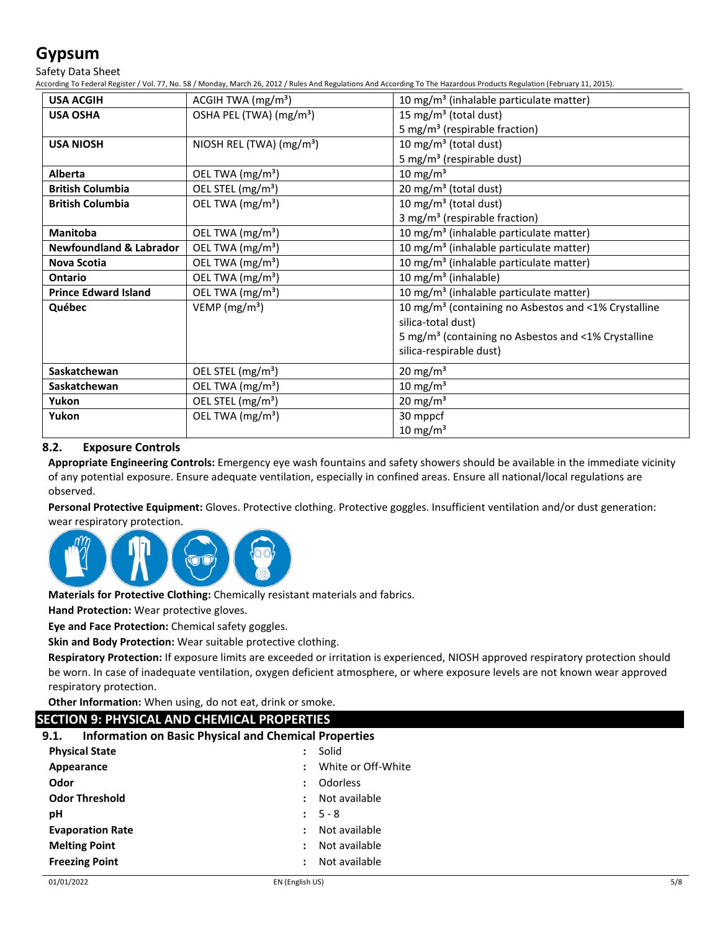Safety Data Sheet

According To Federal Register / Vol. 77, No. 58 / Monday, March 26, 2012 / Rules And Regulations And According To The Hazardous Products Regulation (February 11, 2015).

| <b>USA ACGIH</b>                   | ACGIH TWA $(mg/m3)$                 | 10 mg/m <sup>3</sup> (inhalable particulate matter)              |
|------------------------------------|-------------------------------------|------------------------------------------------------------------|
| <b>USA OSHA</b>                    | OSHA PEL (TWA) (mg/m <sup>3</sup> ) | 15 mg/m <sup>3</sup> (total dust)                                |
|                                    |                                     | 5 mg/m <sup>3</sup> (respirable fraction)                        |
| <b>USA NIOSH</b>                   | NIOSH REL (TWA) $(mg/m3)$           | 10 mg/m <sup>3</sup> (total dust)                                |
|                                    |                                     | 5 mg/m <sup>3</sup> (respirable dust)                            |
| <b>Alberta</b>                     | OEL TWA (mg/m <sup>3</sup> )        | 10 mg/m $3$                                                      |
| <b>British Columbia</b>            | OEL STEL (mg/m <sup>3</sup> )       | 20 mg/m <sup>3</sup> (total dust)                                |
| <b>British Columbia</b>            | OEL TWA (mg/m <sup>3</sup> )        | 10 mg/m <sup>3</sup> (total dust)                                |
|                                    |                                     | 3 mg/m <sup>3</sup> (respirable fraction)                        |
| <b>Manitoba</b>                    | OEL TWA (mg/m <sup>3</sup> )        | 10 mg/m <sup>3</sup> (inhalable particulate matter)              |
| <b>Newfoundland &amp; Labrador</b> | OEL TWA (mg/m <sup>3</sup> )        | 10 mg/m <sup>3</sup> (inhalable particulate matter)              |
| <b>Nova Scotia</b>                 | OEL TWA (mg/m <sup>3</sup> )        | 10 mg/m <sup>3</sup> (inhalable particulate matter)              |
| Ontario                            | OEL TWA (mg/m <sup>3</sup> )        | 10 mg/m <sup>3</sup> (inhalable)                                 |
| <b>Prince Edward Island</b>        | OEL TWA (mg/m <sup>3</sup> )        | 10 mg/m <sup>3</sup> (inhalable particulate matter)              |
| Québec                             | VEMP ( $mg/m3$ )                    | 10 mg/m <sup>3</sup> (containing no Asbestos and <1% Crystalline |
|                                    |                                     | silica-total dust)                                               |
|                                    |                                     | 5 mg/m <sup>3</sup> (containing no Asbestos and <1% Crystalline  |
|                                    |                                     | silica-respirable dust)                                          |
| Saskatchewan                       | OEL STEL (mg/m <sup>3</sup> )       | 20 mg/m $3$                                                      |
| Saskatchewan                       | OEL TWA (mg/m <sup>3</sup> )        | $10 \text{ mg/m}^3$                                              |
| Yukon                              | OEL STEL (mg/m <sup>3</sup> )       | $20 \text{ mg/m}^3$                                              |
| Yukon                              | OEL TWA (mg/m <sup>3</sup> )        | 30 mppcf                                                         |
|                                    |                                     | $10 \text{ mg/m}^3$                                              |

# **8.2. Exposure Controls**

**Appropriate Engineering Controls:** Emergency eye wash fountains and safety showers should be available in the immediate vicinity of any potential exposure. Ensure adequate ventilation, especially in confined areas. Ensure all national/local regulations are observed.

**Personal Protective Equipment:** Gloves. Protective clothing. Protective goggles. Insufficient ventilation and/or dust generation: wear respiratory protection.



**Materials for Protective Clothing:** Chemically resistant materials and fabrics.

**Hand Protection:** Wear protective gloves.

**Eye and Face Protection:** Chemical safety goggles.

**Skin and Body Protection:** Wear suitable protective clothing.

**Respiratory Protection:** If exposure limits are exceeded or irritation is experienced, NIOSH approved respiratory protection should be worn. In case of inadequate ventilation, oxygen deficient atmosphere, or where exposure levels are not known wear approved respiratory protection.

**Other Information:** When using, do not eat, drink or smoke.

# **SECTION 9: PHYSICAL AND CHEMICAL PROPERTIES**

## **9.1. Information on Basic Physical and Chemical Properties**

| <b>Physical State</b>   | Solid                                 |
|-------------------------|---------------------------------------|
| Appearance              | White or Off-White                    |
| Odor                    | Odorless<br>÷                         |
| <b>Odor Threshold</b>   | Not available<br>$\ddot{\phantom{a}}$ |
| рH                      | $: 5 - 8$                             |
| <b>Evaporation Rate</b> | Not available<br>÷                    |
| <b>Melting Point</b>    | Not available<br>÷                    |
| <b>Freezing Point</b>   | Not available                         |
|                         |                                       |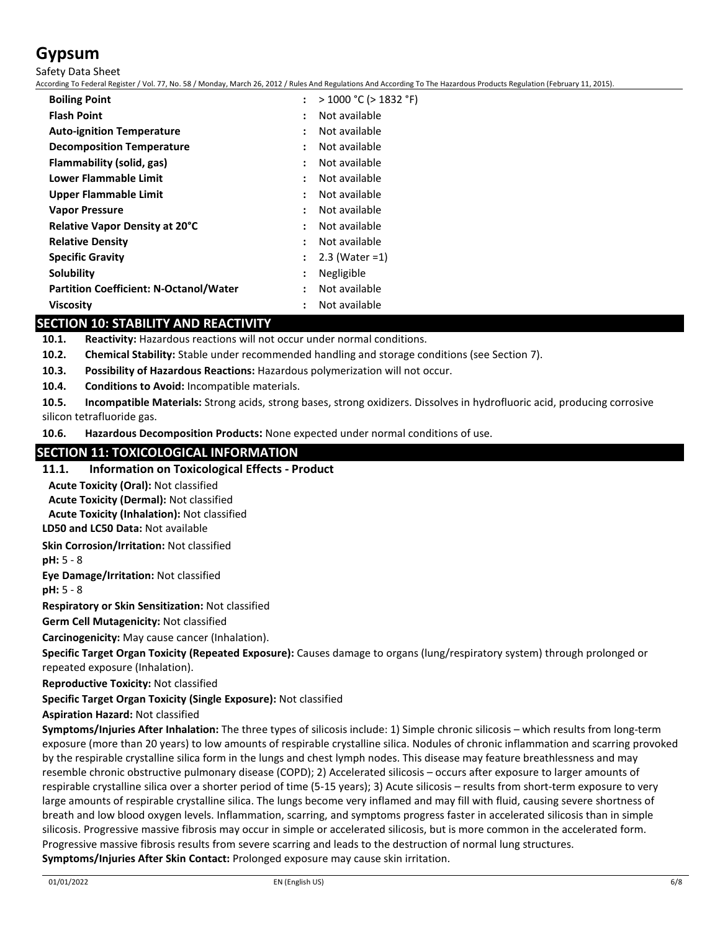Safety Data Sheet

According To Federal Register / Vol. 77, No. 58 / Monday, March 26, 2012 / Rules And Regulations And According To The Hazardous Products Regulation (February 11, 2015).

| <b>Boiling Point</b>                          | > 1000 °C (> 1832 °F)                 |  |
|-----------------------------------------------|---------------------------------------|--|
| <b>Flash Point</b>                            | Not available<br>٠                    |  |
| <b>Auto-ignition Temperature</b>              | Not available<br>٠                    |  |
| <b>Decomposition Temperature</b>              | Not available<br>:                    |  |
| Flammability (solid, gas)                     | Not available<br>:                    |  |
| Lower Flammable Limit                         | Not available<br>٠                    |  |
| <b>Upper Flammable Limit</b>                  | Not available<br>$\ddot{\phantom{a}}$ |  |
| <b>Vapor Pressure</b>                         | Not available<br>$\ddot{\phantom{a}}$ |  |
| <b>Relative Vapor Density at 20°C</b>         | Not available<br>٠                    |  |
| <b>Relative Density</b>                       | Not available<br>:                    |  |
| <b>Specific Gravity</b>                       | $2.3$ (Water = 1)<br>:                |  |
| Solubility                                    | Negligible<br>:                       |  |
| <b>Partition Coefficient: N-Octanol/Water</b> | Not available<br>٠                    |  |
| <b>Viscosity</b>                              | Not available                         |  |
|                                               |                                       |  |

# **SECTION 10: STABILITY AND REACTIVITY**

**10.1. Reactivity:** Hazardous reactions will not occur under normal conditions.

- **10.2. Chemical Stability:** Stable under recommended handling and storage conditions (see Section 7).
- **10.3. Possibility of Hazardous Reactions:** Hazardous polymerization will not occur.
- **10.4. Conditions to Avoid:** Incompatible materials.

**10.5. Incompatible Materials:** Strong acids, strong bases, strong oxidizers. Dissolves in hydrofluoric acid, producing corrosive silicon tetrafluoride gas.

**10.6. Hazardous Decomposition Products:** None expected under normal conditions of use.

# **SECTION 11: TOXICOLOGICAL INFORMATION**

### **11.1. Information on Toxicological Effects - Product**

**Acute Toxicity (Oral):** Not classified

**Acute Toxicity (Dermal):** Not classified

**Acute Toxicity (Inhalation):** Not classified

**LD50 and LC50 Data:** Not available

**Skin Corrosion/Irritation:** Not classified

**pH:** 5 - 8

**Eye Damage/Irritation:** Not classified

**pH:** 5 - 8

**Respiratory or Skin Sensitization:** Not classified

**Germ Cell Mutagenicity:** Not classified

**Carcinogenicity:** May cause cancer (Inhalation).

**Specific Target Organ Toxicity (Repeated Exposure):** Causes damage to organs (lung/respiratory system) through prolonged or repeated exposure (Inhalation).

**Reproductive Toxicity:** Not classified

### **Specific Target Organ Toxicity (Single Exposure):** Not classified

**Aspiration Hazard:** Not classified

**Symptoms/Injuries After Inhalation:** The three types of silicosis include: 1) Simple chronic silicosis – which results from long-term exposure (more than 20 years) to low amounts of respirable crystalline silica. Nodules of chronic inflammation and scarring provoked by the respirable crystalline silica form in the lungs and chest lymph nodes. This disease may feature breathlessness and may resemble chronic obstructive pulmonary disease (COPD); 2) Accelerated silicosis – occurs after exposure to larger amounts of respirable crystalline silica over a shorter period of time (5-15 years); 3) Acute silicosis – results from short-term exposure to very large amounts of respirable crystalline silica. The lungs become very inflamed and may fill with fluid, causing severe shortness of breath and low blood oxygen levels. Inflammation, scarring, and symptoms progress faster in accelerated silicosis than in simple silicosis. Progressive massive fibrosis may occur in simple or accelerated silicosis, but is more common in the accelerated form. Progressive massive fibrosis results from severe scarring and leads to the destruction of normal lung structures. **Symptoms/Injuries After Skin Contact:** Prolonged exposure may cause skin irritation.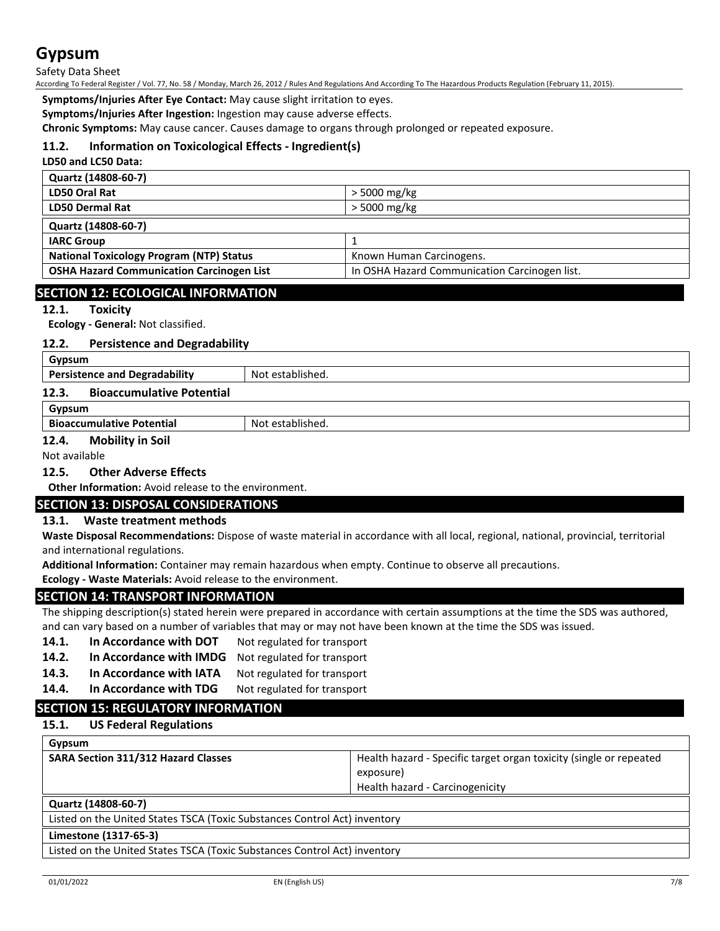#### Safety Data Sheet

According To Federal Register / Vol. 77, No. 58 / Monday, March 26, 2012 / Rules And Regulations And According To The Hazardous Products Regulation (February 11, 2015).

**Symptoms/Injuries After Eye Contact:** May cause slight irritation to eyes.

**Symptoms/Injuries After Ingestion:** Ingestion may cause adverse effects.

**Chronic Symptoms:** May cause cancer. Causes damage to organs through prolonged or repeated exposure.

## **11.2. Information on Toxicological Effects - Ingredient(s)**

**LD50 and LC50 Data:**

| > 5000 mg/kg                                  |
|-----------------------------------------------|
| > 5000 mg/kg                                  |
|                                               |
|                                               |
| Known Human Carcinogens.                      |
| In OSHA Hazard Communication Carcinogen list. |
|                                               |

## **SECTION 12: ECOLOGICAL INFORMATION**

### **12.1. Toxicity**

**Ecology - General:** Not classified.

#### **12.2. Persistence and Degradability**

| Gypsum                                    |                  |
|-------------------------------------------|------------------|
| <b>Persistence and Degradability</b>      | Not established. |
| 12.3.<br><b>Bioaccumulative Potential</b> |                  |
| Gypsum                                    |                  |
| <b>Bioaccumulative Potential</b>          | Not established. |

# **12.4. Mobility in Soil**

Not available

### **12.5. Other Adverse Effects**

**Other Information:** Avoid release to the environment.

### **SECTION 13: DISPOSAL CONSIDERATIONS**

### **13.1. Waste treatment methods**

**Waste Disposal Recommendations:** Dispose of waste material in accordance with all local, regional, national, provincial, territorial and international regulations.

**Additional Information:** Container may remain hazardous when empty. Continue to observe all precautions.

**Ecology - Waste Materials:** Avoid release to the environment.

### **SECTION 14: TRANSPORT INFORMATION**

The shipping description(s) stated herein were prepared in accordance with certain assumptions at the time the SDS was authored, and can vary based on a number of variables that may or may not have been known at the time the SDS was issued.

- 14.1. In Accordance with DOT Not regulated for transport
- **14.2. In Accordance with IMDG** Not regulated for transport
- 14.3. In Accordance with IATA Not regulated for transport
- **14.4.** In Accordance with TDG Not regulated for transport

# **SECTION 15: REGULATORY INFORMATION**

## **15.1. US Federal Regulations**

| Gypsum                                     |                                                                    |
|--------------------------------------------|--------------------------------------------------------------------|
| <b>SARA Section 311/312 Hazard Classes</b> | Health hazard - Specific target organ toxicity (single or repeated |
|                                            | exposure)                                                          |
|                                            | Health hazard - Carcinogenicity                                    |
|                                            |                                                                    |

# **Quartz (14808-60-7)**

Listed on the United States TSCA (Toxic Substances Control Act) inventory

# **Limestone (1317-65-3)**

Listed on the United States TSCA (Toxic Substances Control Act) inventory